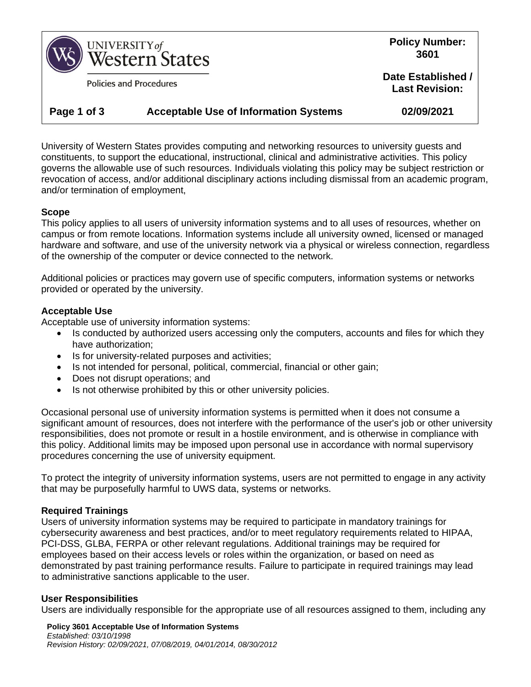

**Policies and Procedures** 

**Policy Number: 3601**

**Date Established / Last Revision:**

# **Page 1 of 3 Acceptable Use of Information Systems 02/09/2021**

University of Western States provides computing and networking resources to university guests and constituents, to support the educational, instructional, clinical and administrative activities. This policy governs the allowable use of such resources. Individuals violating this policy may be subject restriction or revocation of access, and/or additional disciplinary actions including dismissal from an academic program, and/or termination of employment,

#### **Scope**

This policy applies to all users of university information systems and to all uses of resources, whether on campus or from remote locations. Information systems include all university owned, licensed or managed hardware and software, and use of the university network via a physical or wireless connection, regardless of the ownership of the computer or device connected to the network.

Additional policies or practices may govern use of specific computers, information systems or networks provided or operated by the university.

## **Acceptable Use**

Acceptable use of university information systems:

- Is conducted by authorized users accessing only the computers, accounts and files for which they have authorization;
- Is for university-related purposes and activities;
- Is not intended for personal, political, commercial, financial or other gain;
- Does not disrupt operations; and
- Is not otherwise prohibited by this or other university policies.

Occasional personal use of university information systems is permitted when it does not consume a significant amount of resources, does not interfere with the performance of the user's job or other university responsibilities, does not promote or result in a hostile environment, and is otherwise in compliance with this policy. Additional limits may be imposed upon personal use in accordance with normal supervisory procedures concerning the use of university equipment.

To protect the integrity of university information systems, users are not permitted to engage in any activity that may be purposefully harmful to UWS data, systems or networks.

#### **Required Trainings**

Users of university information systems may be required to participate in mandatory trainings for cybersecurity awareness and best practices, and/or to meet regulatory requirements related to HIPAA, PCI-DSS, GLBA, FERPA or other relevant regulations. Additional trainings may be required for employees based on their access levels or roles within the organization, or based on need as demonstrated by past training performance results. Failure to participate in required trainings may lead to administrative sanctions applicable to the user.

#### **User Responsibilities**

Users are individually responsible for the appropriate use of all resources assigned to them, including any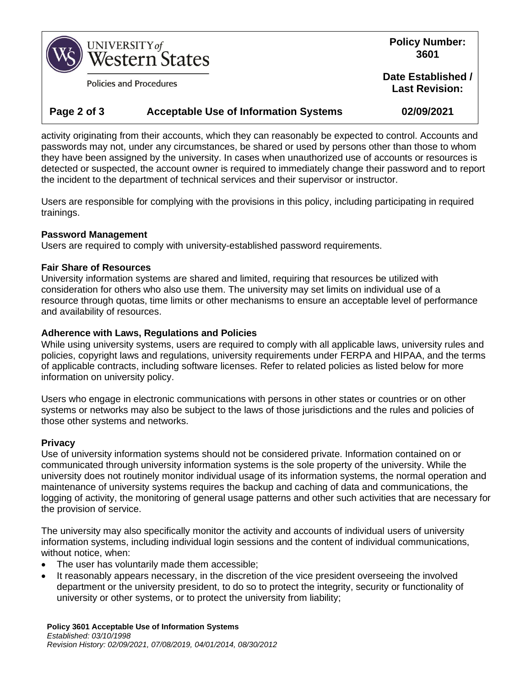

**Policies and Procedures** 

**Policy Number: 3601**

**Date Established / Last Revision:**

## **Page 2 of 3 Acceptable Use of Information Systems 02/09/2021**

activity originating from their accounts, which they can reasonably be expected to control. Accounts and passwords may not, under any circumstances, be shared or used by persons other than those to whom they have been assigned by the university. In cases when unauthorized use of accounts or resources is detected or suspected, the account owner is required to immediately change their password and to report the incident to the department of technical services and their supervisor or instructor.

Users are responsible for complying with the provisions in this policy, including participating in required trainings.

## **Password Management**

Users are required to comply with university-established password requirements.

## **Fair Share of Resources**

University information systems are shared and limited, requiring that resources be utilized with consideration for others who also use them. The university may set limits on individual use of a resource through quotas, time limits or other mechanisms to ensure an acceptable level of performance and availability of resources.

## **Adherence with Laws, Regulations and Policies**

While using university systems, users are required to comply with all applicable laws, university rules and policies, copyright laws and regulations, university requirements under FERPA and HIPAA, and the terms of applicable contracts, including software licenses. Refer to related policies as listed below for more information on university policy.

Users who engage in electronic communications with persons in other states or countries or on other systems or networks may also be subject to the laws of those jurisdictions and the rules and policies of those other systems and networks.

## **Privacy**

Use of university information systems should not be considered private. Information contained on or communicated through university information systems is the sole property of the university. While the university does not routinely monitor individual usage of its information systems, the normal operation and maintenance of university systems requires the backup and caching of data and communications, the logging of activity, the monitoring of general usage patterns and other such activities that are necessary for the provision of service.

The university may also specifically monitor the activity and accounts of individual users of university information systems, including individual login sessions and the content of individual communications, without notice, when:

- The user has voluntarily made them accessible;
- It reasonably appears necessary, in the discretion of the vice president overseeing the involved department or the university president, to do so to protect the integrity, security or functionality of university or other systems, or to protect the university from liability;